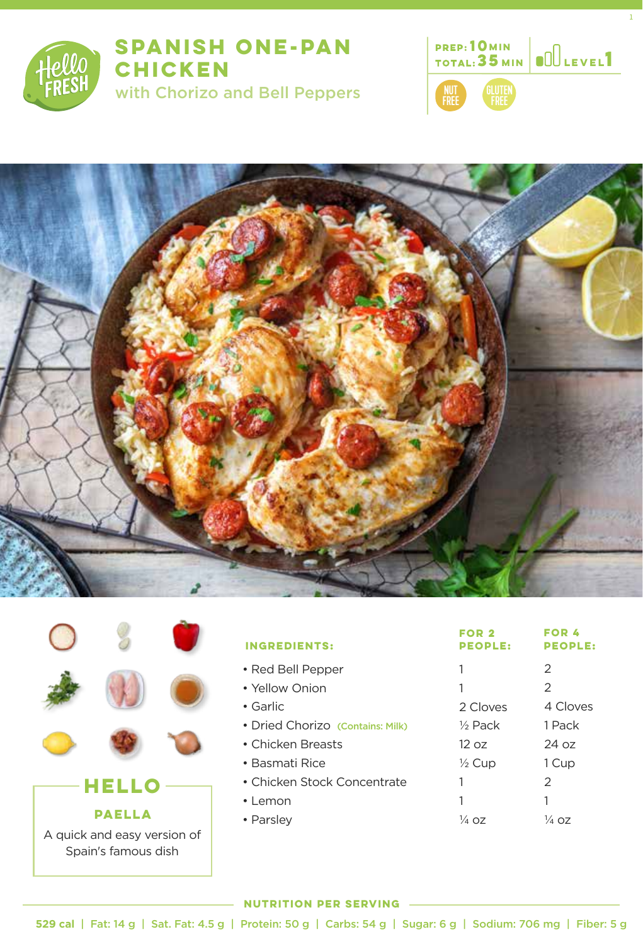

## **SPANISH ONE-PAN CHICKEN**

with Chorizo and Bell Peppers



1



|                                                                              |  |  | <b>INGREDIENTS</b>                                                                       |
|------------------------------------------------------------------------------|--|--|------------------------------------------------------------------------------------------|
|                                                                              |  |  | • Red Bell Pep<br>• Yellow Onior<br>$\bullet$ Garlic<br>• Dried Choriz<br>• Chicken Brea |
| HELLO<br><b>PAELLA</b><br>A quick and easy version of<br>Spain's famous dish |  |  | • Basmati Rice<br>• Chicken Stoc<br>• Lemon<br>• Parsley                                 |

| <b>GREDIENTS:</b>                     | FOR <sub>2</sub><br><b>PEOPLE:</b> | <b>FOR 4</b><br><b>PEOPLE:</b> |
|---------------------------------------|------------------------------------|--------------------------------|
| ed Bell Pepper                        | 1                                  | 2                              |
| ellow Onion                           | 1                                  | 2                              |
| iarlic                                | 2 Cloves                           | 4 Cloves                       |
| <b>Pried Chorizo (Contains: Milk)</b> | $\frac{1}{2}$ Pack                 | 1 Pack                         |
| :hicken Breasts                       | 12 oz                              | 24 oz                          |
| lasmati Rice                          | $\frac{1}{2}$ Cup                  | 1 Cup                          |
| hicken Stock Concentrate:             | 1                                  | 2                              |
| emon                                  | 1                                  |                                |
| 'arsley                               | $\frac{1}{4}$ OZ                   | 1⁄4 OZ                         |

### **NUTRITION PER SERVING**